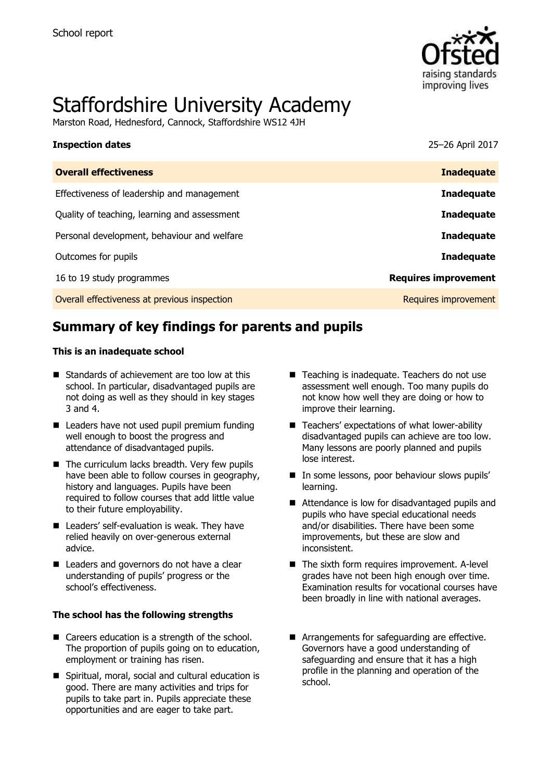

# Staffordshire University Academy

Marston Road, Hednesford, Cannock, Staffordshire WS12 4JH

| <b>Inspection dates</b>                      | 25-26 April 2017            |
|----------------------------------------------|-----------------------------|
| <b>Overall effectiveness</b>                 | <b>Inadequate</b>           |
| Effectiveness of leadership and management   | <b>Inadequate</b>           |
| Quality of teaching, learning and assessment | <b>Inadequate</b>           |
| Personal development, behaviour and welfare  | <b>Inadequate</b>           |
| Outcomes for pupils                          | <b>Inadequate</b>           |
| 16 to 19 study programmes                    | <b>Requires improvement</b> |
| Overall effectiveness at previous inspection | Requires improvement        |
|                                              |                             |

# **Summary of key findings for parents and pupils**

### **This is an inadequate school**

- Standards of achievement are too low at this school. In particular, disadvantaged pupils are not doing as well as they should in key stages 3 and 4.
- Leaders have not used pupil premium funding well enough to boost the progress and attendance of disadvantaged pupils.
- $\blacksquare$  The curriculum lacks breadth. Very few pupils have been able to follow courses in geography, history and languages. Pupils have been required to follow courses that add little value to their future employability.
- Leaders' self-evaluation is weak. They have relied heavily on over-generous external advice.
- Leaders and governors do not have a clear understanding of pupils' progress or the school's effectiveness.

### **The school has the following strengths**

- Careers education is a strength of the school. The proportion of pupils going on to education, employment or training has risen.
- Spiritual, moral, social and cultural education is good. There are many activities and trips for pupils to take part in. Pupils appreciate these opportunities and are eager to take part.
- Teaching is inadequate. Teachers do not use assessment well enough. Too many pupils do not know how well they are doing or how to improve their learning.
- Teachers' expectations of what lower-ability disadvantaged pupils can achieve are too low. Many lessons are poorly planned and pupils lose interest.
- In some lessons, poor behaviour slows pupils' learning.
- Attendance is low for disadvantaged pupils and pupils who have special educational needs and/or disabilities. There have been some improvements, but these are slow and inconsistent.
- $\blacksquare$  The sixth form requires improvement. A-level grades have not been high enough over time. Examination results for vocational courses have been broadly in line with national averages.
- **Arrangements for safeguarding are effective.** Governors have a good understanding of safeguarding and ensure that it has a high profile in the planning and operation of the school.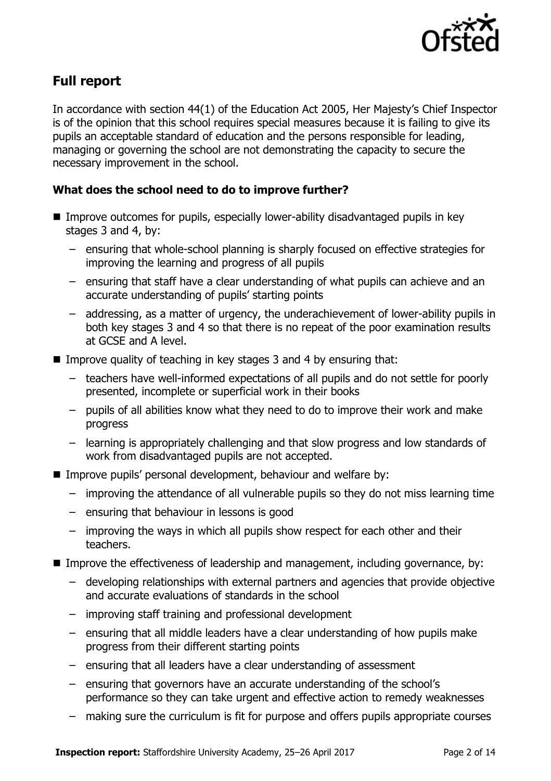

# **Full report**

In accordance with section 44(1) of the Education Act 2005, Her Majesty's Chief Inspector is of the opinion that this school requires special measures because it is failing to give its pupils an acceptable standard of education and the persons responsible for leading, managing or governing the school are not demonstrating the capacity to secure the necessary improvement in the school.

### **What does the school need to do to improve further?**

- Improve outcomes for pupils, especially lower-ability disadvantaged pupils in key stages 3 and 4, by:
	- ensuring that whole-school planning is sharply focused on effective strategies for improving the learning and progress of all pupils
	- ensuring that staff have a clear understanding of what pupils can achieve and an accurate understanding of pupils' starting points
	- addressing, as a matter of urgency, the underachievement of lower-ability pupils in both key stages 3 and 4 so that there is no repeat of the poor examination results at GCSE and A level.
- **IMPROVE QUALITY OF TEACHT AND IS NOT EXAMPLE 3 And 4 by ensuring that:** 
	- teachers have well-informed expectations of all pupils and do not settle for poorly presented, incomplete or superficial work in their books
	- pupils of all abilities know what they need to do to improve their work and make progress
	- learning is appropriately challenging and that slow progress and low standards of work from disadvantaged pupils are not accepted.
- **IMPROVE pupils' personal development, behaviour and welfare by:** 
	- improving the attendance of all vulnerable pupils so they do not miss learning time
	- ensuring that behaviour in lessons is good
	- improving the ways in which all pupils show respect for each other and their teachers.
- Improve the effectiveness of leadership and management, including governance, by:
	- developing relationships with external partners and agencies that provide objective and accurate evaluations of standards in the school
	- improving staff training and professional development
	- ensuring that all middle leaders have a clear understanding of how pupils make progress from their different starting points
	- ensuring that all leaders have a clear understanding of assessment
	- ensuring that governors have an accurate understanding of the school's performance so they can take urgent and effective action to remedy weaknesses
	- making sure the curriculum is fit for purpose and offers pupils appropriate courses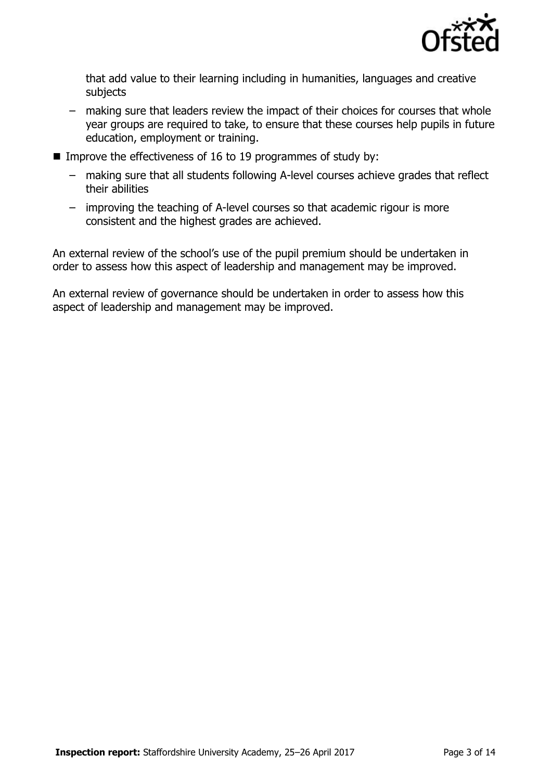

that add value to their learning including in humanities, languages and creative subjects

- making sure that leaders review the impact of their choices for courses that whole year groups are required to take, to ensure that these courses help pupils in future education, employment or training.
- Improve the effectiveness of 16 to 19 programmes of study by:
	- making sure that all students following A-level courses achieve grades that reflect their abilities
	- improving the teaching of A-level courses so that academic rigour is more consistent and the highest grades are achieved.

An external review of the school's use of the pupil premium should be undertaken in order to assess how this aspect of leadership and management may be improved.

An external review of governance should be undertaken in order to assess how this aspect of leadership and management may be improved.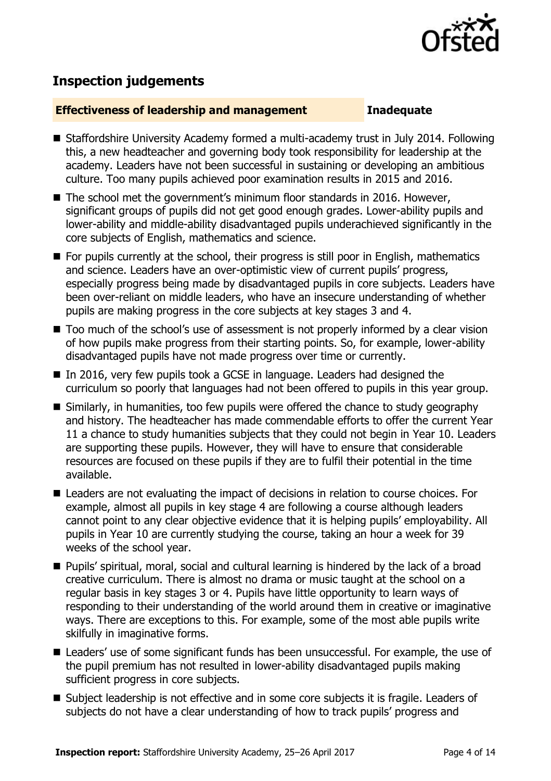

# **Inspection judgements**

### **Effectiveness of leadership and management Inadequate**

- Staffordshire University Academy formed a multi-academy trust in July 2014. Following this, a new headteacher and governing body took responsibility for leadership at the academy. Leaders have not been successful in sustaining or developing an ambitious culture. Too many pupils achieved poor examination results in 2015 and 2016.
- The school met the government's minimum floor standards in 2016. However, significant groups of pupils did not get good enough grades. Lower-ability pupils and lower-ability and middle-ability disadvantaged pupils underachieved significantly in the core subjects of English, mathematics and science.
- **For pupils currently at the school, their progress is still poor in English, mathematics** and science. Leaders have an over-optimistic view of current pupils' progress, especially progress being made by disadvantaged pupils in core subjects. Leaders have been over-reliant on middle leaders, who have an insecure understanding of whether pupils are making progress in the core subjects at key stages 3 and 4.
- Too much of the school's use of assessment is not properly informed by a clear vision of how pupils make progress from their starting points. So, for example, lower-ability disadvantaged pupils have not made progress over time or currently.
- In 2016, very few pupils took a GCSE in language. Leaders had designed the curriculum so poorly that languages had not been offered to pupils in this year group.
- Similarly, in humanities, too few pupils were offered the chance to study geography and history. The headteacher has made commendable efforts to offer the current Year 11 a chance to study humanities subjects that they could not begin in Year 10. Leaders are supporting these pupils. However, they will have to ensure that considerable resources are focused on these pupils if they are to fulfil their potential in the time available.
- Leaders are not evaluating the impact of decisions in relation to course choices. For example, almost all pupils in key stage 4 are following a course although leaders cannot point to any clear objective evidence that it is helping pupils' employability. All pupils in Year 10 are currently studying the course, taking an hour a week for 39 weeks of the school year.
- Pupils' spiritual, moral, social and cultural learning is hindered by the lack of a broad creative curriculum. There is almost no drama or music taught at the school on a regular basis in key stages 3 or 4. Pupils have little opportunity to learn ways of responding to their understanding of the world around them in creative or imaginative ways. There are exceptions to this. For example, some of the most able pupils write skilfully in imaginative forms.
- Leaders' use of some significant funds has been unsuccessful. For example, the use of the pupil premium has not resulted in lower-ability disadvantaged pupils making sufficient progress in core subjects.
- Subject leadership is not effective and in some core subjects it is fragile. Leaders of subjects do not have a clear understanding of how to track pupils' progress and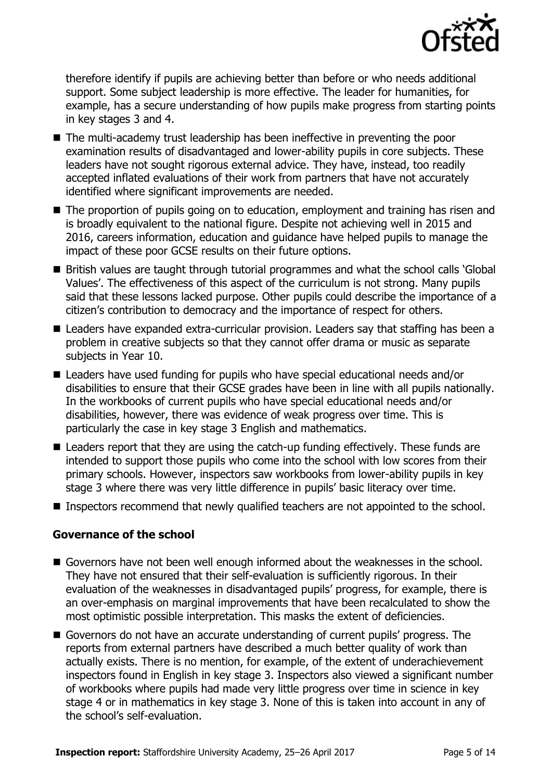

therefore identify if pupils are achieving better than before or who needs additional support. Some subject leadership is more effective. The leader for humanities, for example, has a secure understanding of how pupils make progress from starting points in key stages 3 and 4.

- The multi-academy trust leadership has been ineffective in preventing the poor examination results of disadvantaged and lower-ability pupils in core subjects. These leaders have not sought rigorous external advice. They have, instead, too readily accepted inflated evaluations of their work from partners that have not accurately identified where significant improvements are needed.
- The proportion of pupils going on to education, employment and training has risen and is broadly equivalent to the national figure. Despite not achieving well in 2015 and 2016, careers information, education and guidance have helped pupils to manage the impact of these poor GCSE results on their future options.
- British values are taught through tutorial programmes and what the school calls 'Global Values'. The effectiveness of this aspect of the curriculum is not strong. Many pupils said that these lessons lacked purpose. Other pupils could describe the importance of a citizen's contribution to democracy and the importance of respect for others.
- Leaders have expanded extra-curricular provision. Leaders say that staffing has been a problem in creative subjects so that they cannot offer drama or music as separate subjects in Year 10.
- Leaders have used funding for pupils who have special educational needs and/or disabilities to ensure that their GCSE grades have been in line with all pupils nationally. In the workbooks of current pupils who have special educational needs and/or disabilities, however, there was evidence of weak progress over time. This is particularly the case in key stage 3 English and mathematics.
- Leaders report that they are using the catch-up funding effectively. These funds are intended to support those pupils who come into the school with low scores from their primary schools. However, inspectors saw workbooks from lower-ability pupils in key stage 3 where there was very little difference in pupils' basic literacy over time.
- **Inspectors recommend that newly qualified teachers are not appointed to the school.**

### **Governance of the school**

- Governors have not been well enough informed about the weaknesses in the school. They have not ensured that their self-evaluation is sufficiently rigorous. In their evaluation of the weaknesses in disadvantaged pupils' progress, for example, there is an over-emphasis on marginal improvements that have been recalculated to show the most optimistic possible interpretation. This masks the extent of deficiencies.
- Governors do not have an accurate understanding of current pupils' progress. The reports from external partners have described a much better quality of work than actually exists. There is no mention, for example, of the extent of underachievement inspectors found in English in key stage 3. Inspectors also viewed a significant number of workbooks where pupils had made very little progress over time in science in key stage 4 or in mathematics in key stage 3. None of this is taken into account in any of the school's self-evaluation.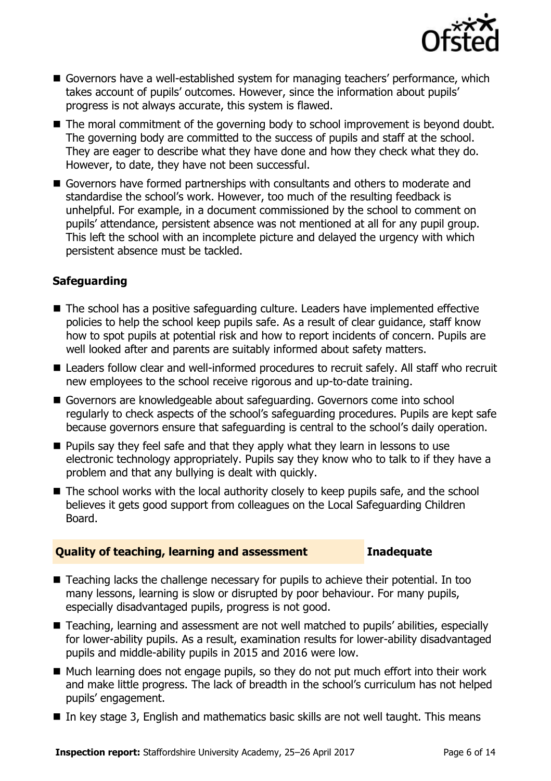

- Governors have a well-established system for managing teachers' performance, which takes account of pupils' outcomes. However, since the information about pupils' progress is not always accurate, this system is flawed.
- The moral commitment of the governing body to school improvement is beyond doubt. The governing body are committed to the success of pupils and staff at the school. They are eager to describe what they have done and how they check what they do. However, to date, they have not been successful.
- Governors have formed partnerships with consultants and others to moderate and standardise the school's work. However, too much of the resulting feedback is unhelpful. For example, in a document commissioned by the school to comment on pupils' attendance, persistent absence was not mentioned at all for any pupil group. This left the school with an incomplete picture and delayed the urgency with which persistent absence must be tackled.

### **Safeguarding**

- The school has a positive safeguarding culture. Leaders have implemented effective policies to help the school keep pupils safe. As a result of clear guidance, staff know how to spot pupils at potential risk and how to report incidents of concern. Pupils are well looked after and parents are suitably informed about safety matters.
- Leaders follow clear and well-informed procedures to recruit safely. All staff who recruit new employees to the school receive rigorous and up-to-date training.
- Governors are knowledgeable about safeguarding. Governors come into school regularly to check aspects of the school's safeguarding procedures. Pupils are kept safe because governors ensure that safeguarding is central to the school's daily operation.
- $\blacksquare$  Pupils say they feel safe and that they apply what they learn in lessons to use electronic technology appropriately. Pupils say they know who to talk to if they have a problem and that any bullying is dealt with quickly.
- The school works with the local authority closely to keep pupils safe, and the school believes it gets good support from colleagues on the Local Safeguarding Children Board.

### **Quality of teaching, learning and assessment Inadequate**

- Teaching lacks the challenge necessary for pupils to achieve their potential. In too many lessons, learning is slow or disrupted by poor behaviour. For many pupils, especially disadvantaged pupils, progress is not good.
- Teaching, learning and assessment are not well matched to pupils' abilities, especially for lower-ability pupils. As a result, examination results for lower-ability disadvantaged pupils and middle-ability pupils in 2015 and 2016 were low.
- Much learning does not engage pupils, so they do not put much effort into their work and make little progress. The lack of breadth in the school's curriculum has not helped pupils' engagement.
- $\blacksquare$  In key stage 3, English and mathematics basic skills are not well taught. This means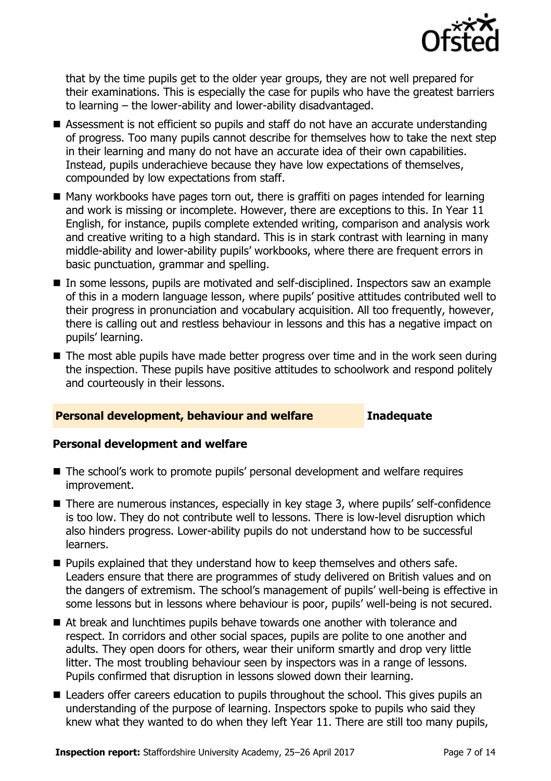

that by the time pupils get to the older year groups, they are not well prepared for their examinations. This is especially the case for pupils who have the greatest barriers to learning – the lower-ability and lower-ability disadvantaged.

- Assessment is not efficient so pupils and staff do not have an accurate understanding of progress. Too many pupils cannot describe for themselves how to take the next step in their learning and many do not have an accurate idea of their own capabilities. Instead, pupils underachieve because they have low expectations of themselves, compounded by low expectations from staff.
- Many workbooks have pages torn out, there is graffiti on pages intended for learning and work is missing or incomplete. However, there are exceptions to this. In Year 11 English, for instance, pupils complete extended writing, comparison and analysis work and creative writing to a high standard. This is in stark contrast with learning in many middle-ability and lower-ability pupils' workbooks, where there are frequent errors in basic punctuation, grammar and spelling.
- In some lessons, pupils are motivated and self-disciplined. Inspectors saw an example of this in a modern language lesson, where pupils' positive attitudes contributed well to their progress in pronunciation and vocabulary acquisition. All too frequently, however, there is calling out and restless behaviour in lessons and this has a negative impact on pupils' learning.
- The most able pupils have made better progress over time and in the work seen during the inspection. These pupils have positive attitudes to schoolwork and respond politely and courteously in their lessons.

### **Personal development, behaviour and welfare Inadequate**

### **Personal development and welfare**

- The school's work to promote pupils' personal development and welfare requires improvement.
- There are numerous instances, especially in key stage 3, where pupils' self-confidence is too low. They do not contribute well to lessons. There is low-level disruption which also hinders progress. Lower-ability pupils do not understand how to be successful learners.
- **Pupils explained that they understand how to keep themselves and others safe.** Leaders ensure that there are programmes of study delivered on British values and on the dangers of extremism. The school's management of pupils' well-being is effective in some lessons but in lessons where behaviour is poor, pupils' well-being is not secured.
- At break and lunchtimes pupils behave towards one another with tolerance and respect. In corridors and other social spaces, pupils are polite to one another and adults. They open doors for others, wear their uniform smartly and drop very little litter. The most troubling behaviour seen by inspectors was in a range of lessons. Pupils confirmed that disruption in lessons slowed down their learning.
- Leaders offer careers education to pupils throughout the school. This gives pupils an understanding of the purpose of learning. Inspectors spoke to pupils who said they knew what they wanted to do when they left Year 11. There are still too many pupils,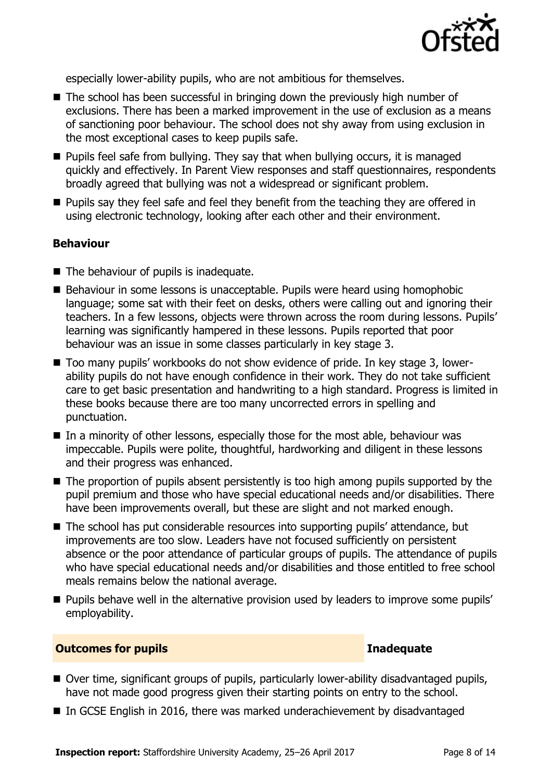

especially lower-ability pupils, who are not ambitious for themselves.

- The school has been successful in bringing down the previously high number of exclusions. There has been a marked improvement in the use of exclusion as a means of sanctioning poor behaviour. The school does not shy away from using exclusion in the most exceptional cases to keep pupils safe.
- $\blacksquare$  Pupils feel safe from bullying. They say that when bullying occurs, it is managed quickly and effectively. In Parent View responses and staff questionnaires, respondents broadly agreed that bullying was not a widespread or significant problem.
- **Pupils say they feel safe and feel they benefit from the teaching they are offered in** using electronic technology, looking after each other and their environment.

### **Behaviour**

- The behaviour of pupils is inadequate.
- Behaviour in some lessons is unacceptable. Pupils were heard using homophobic language; some sat with their feet on desks, others were calling out and ignoring their teachers. In a few lessons, objects were thrown across the room during lessons. Pupils' learning was significantly hampered in these lessons. Pupils reported that poor behaviour was an issue in some classes particularly in key stage 3.
- Too many pupils' workbooks do not show evidence of pride. In key stage 3, lowerability pupils do not have enough confidence in their work. They do not take sufficient care to get basic presentation and handwriting to a high standard. Progress is limited in these books because there are too many uncorrected errors in spelling and punctuation.
- $\blacksquare$  In a minority of other lessons, especially those for the most able, behaviour was impeccable. Pupils were polite, thoughtful, hardworking and diligent in these lessons and their progress was enhanced.
- The proportion of pupils absent persistently is too high among pupils supported by the pupil premium and those who have special educational needs and/or disabilities. There have been improvements overall, but these are slight and not marked enough.
- The school has put considerable resources into supporting pupils' attendance, but improvements are too slow. Leaders have not focused sufficiently on persistent absence or the poor attendance of particular groups of pupils. The attendance of pupils who have special educational needs and/or disabilities and those entitled to free school meals remains below the national average.
- **Pupils behave well in the alternative provision used by leaders to improve some pupils'** employability.

### **Outcomes for pupils Inadequate**

- Over time, significant groups of pupils, particularly lower-ability disadvantaged pupils, have not made good progress given their starting points on entry to the school.
- In GCSE English in 2016, there was marked underachievement by disadvantaged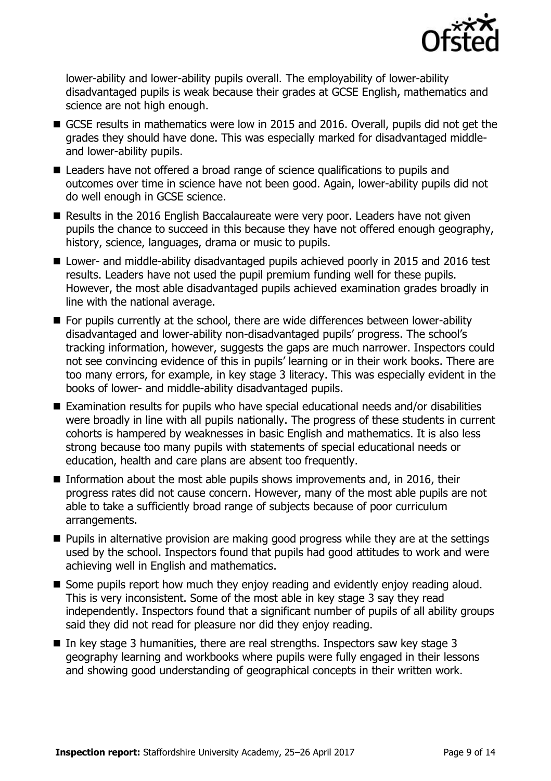

lower-ability and lower-ability pupils overall. The employability of lower-ability disadvantaged pupils is weak because their grades at GCSE English, mathematics and science are not high enough.

- GCSE results in mathematics were low in 2015 and 2016. Overall, pupils did not get the grades they should have done. This was especially marked for disadvantaged middleand lower-ability pupils.
- Leaders have not offered a broad range of science qualifications to pupils and outcomes over time in science have not been good. Again, lower-ability pupils did not do well enough in GCSE science.
- Results in the 2016 English Baccalaureate were very poor. Leaders have not given pupils the chance to succeed in this because they have not offered enough geography, history, science, languages, drama or music to pupils.
- Lower- and middle-ability disadvantaged pupils achieved poorly in 2015 and 2016 test results. Leaders have not used the pupil premium funding well for these pupils. However, the most able disadvantaged pupils achieved examination grades broadly in line with the national average.
- For pupils currently at the school, there are wide differences between lower-ability disadvantaged and lower-ability non-disadvantaged pupils' progress. The school's tracking information, however, suggests the gaps are much narrower. Inspectors could not see convincing evidence of this in pupils' learning or in their work books. There are too many errors, for example, in key stage 3 literacy. This was especially evident in the books of lower- and middle-ability disadvantaged pupils.
- Examination results for pupils who have special educational needs and/or disabilities were broadly in line with all pupils nationally. The progress of these students in current cohorts is hampered by weaknesses in basic English and mathematics. It is also less strong because too many pupils with statements of special educational needs or education, health and care plans are absent too frequently.
- Information about the most able pupils shows improvements and, in 2016, their progress rates did not cause concern. However, many of the most able pupils are not able to take a sufficiently broad range of subjects because of poor curriculum arrangements.
- **Pupils in alternative provision are making good progress while they are at the settings** used by the school. Inspectors found that pupils had good attitudes to work and were achieving well in English and mathematics.
- Some pupils report how much they enjoy reading and evidently enjoy reading aloud. This is very inconsistent. Some of the most able in key stage 3 say they read independently. Inspectors found that a significant number of pupils of all ability groups said they did not read for pleasure nor did they enjoy reading.
- In key stage 3 humanities, there are real strengths. Inspectors saw key stage 3 geography learning and workbooks where pupils were fully engaged in their lessons and showing good understanding of geographical concepts in their written work.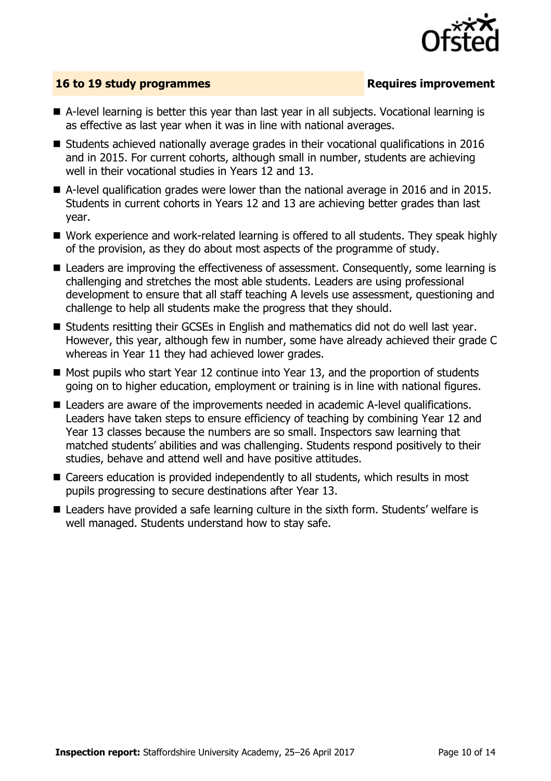

### **16 to 19 study programmes Requires improvement**

- A-level learning is better this year than last year in all subjects. Vocational learning is as effective as last year when it was in line with national averages.
- $\blacksquare$  Students achieved nationally average grades in their vocational qualifications in 2016 and in 2015. For current cohorts, although small in number, students are achieving well in their vocational studies in Years 12 and 13.
- A-level qualification grades were lower than the national average in 2016 and in 2015. Students in current cohorts in Years 12 and 13 are achieving better grades than last year.
- Work experience and work-related learning is offered to all students. They speak highly of the provision, as they do about most aspects of the programme of study.
- Leaders are improving the effectiveness of assessment. Consequently, some learning is challenging and stretches the most able students. Leaders are using professional development to ensure that all staff teaching A levels use assessment, questioning and challenge to help all students make the progress that they should.
- Students resitting their GCSEs in English and mathematics did not do well last year. However, this year, although few in number, some have already achieved their grade C whereas in Year 11 they had achieved lower grades.
- $\blacksquare$  Most pupils who start Year 12 continue into Year 13, and the proportion of students going on to higher education, employment or training is in line with national figures.
- Leaders are aware of the improvements needed in academic A-level qualifications. Leaders have taken steps to ensure efficiency of teaching by combining Year 12 and Year 13 classes because the numbers are so small. Inspectors saw learning that matched students' abilities and was challenging. Students respond positively to their studies, behave and attend well and have positive attitudes.
- Careers education is provided independently to all students, which results in most pupils progressing to secure destinations after Year 13.
- Leaders have provided a safe learning culture in the sixth form. Students' welfare is well managed. Students understand how to stay safe.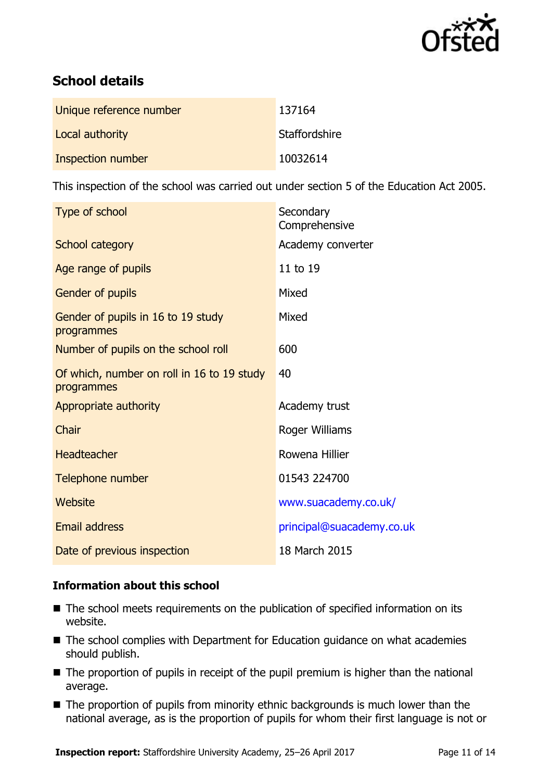

# **School details**

| Unique reference number | 137164        |
|-------------------------|---------------|
| Local authority         | Staffordshire |
| Inspection number       | 10032614      |

This inspection of the school was carried out under section 5 of the Education Act 2005.

| Type of school                                           | Secondary<br>Comprehensive |
|----------------------------------------------------------|----------------------------|
| <b>School category</b>                                   | Academy converter          |
| Age range of pupils                                      | 11 to 19                   |
| <b>Gender of pupils</b>                                  | Mixed                      |
| Gender of pupils in 16 to 19 study<br>programmes         | Mixed                      |
| Number of pupils on the school roll                      | 600                        |
| Of which, number on roll in 16 to 19 study<br>programmes | 40                         |
| Appropriate authority                                    | Academy trust              |
| Chair                                                    | Roger Williams             |
| <b>Headteacher</b>                                       | Rowena Hillier             |
| Telephone number                                         | 01543 224700               |
| Website                                                  | www.suacademy.co.uk/       |
| <b>Email address</b>                                     | principal@suacademy.co.uk  |
| Date of previous inspection                              | 18 March 2015              |

### **Information about this school**

- The school meets requirements on the publication of specified information on its website.
- The school complies with Department for Education guidance on what academies should publish.
- The proportion of pupils in receipt of the pupil premium is higher than the national average.
- The proportion of pupils from minority ethnic backgrounds is much lower than the national average, as is the proportion of pupils for whom their first language is not or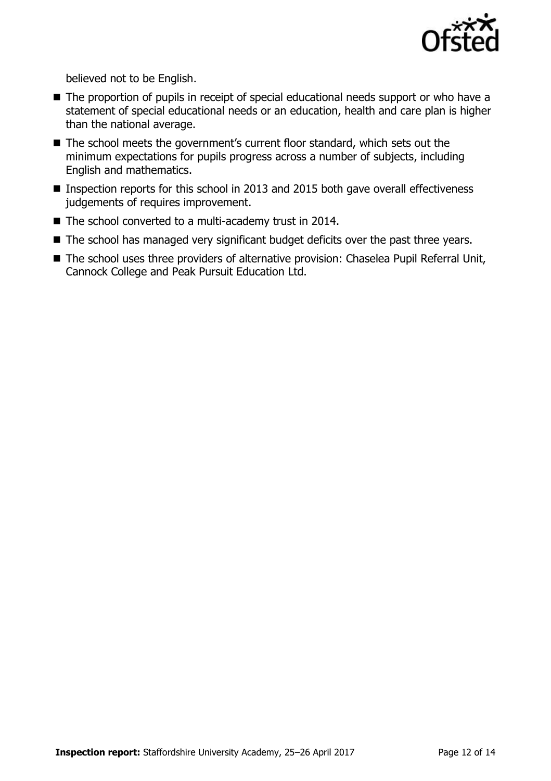

believed not to be English.

- The proportion of pupils in receipt of special educational needs support or who have a statement of special educational needs or an education, health and care plan is higher than the national average.
- The school meets the government's current floor standard, which sets out the minimum expectations for pupils progress across a number of subjects, including English and mathematics.
- Inspection reports for this school in 2013 and 2015 both gave overall effectiveness judgements of requires improvement.
- The school converted to a multi-academy trust in 2014.
- The school has managed very significant budget deficits over the past three years.
- The school uses three providers of alternative provision: Chaselea Pupil Referral Unit, Cannock College and Peak Pursuit Education Ltd.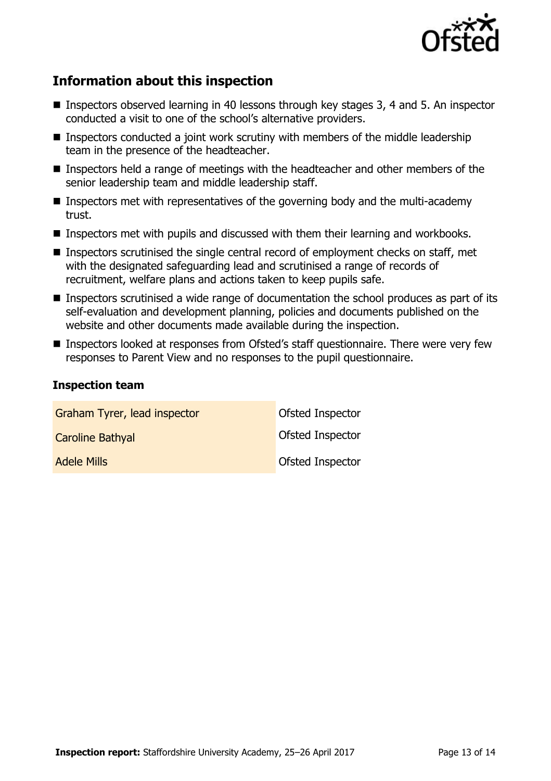

# **Information about this inspection**

- Inspectors observed learning in 40 lessons through key stages 3, 4 and 5. An inspector conducted a visit to one of the school's alternative providers.
- **Inspectors conducted a joint work scrutiny with members of the middle leadership** team in the presence of the headteacher.
- **Inspectors held a range of meetings with the headteacher and other members of the** senior leadership team and middle leadership staff.
- **Inspectors met with representatives of the governing body and the multi-academy** trust.
- **Inspectors met with pupils and discussed with them their learning and workbooks.**
- Inspectors scrutinised the single central record of employment checks on staff, met with the designated safeguarding lead and scrutinised a range of records of recruitment, welfare plans and actions taken to keep pupils safe.
- Inspectors scrutinised a wide range of documentation the school produces as part of its self-evaluation and development planning, policies and documents published on the website and other documents made available during the inspection.
- Inspectors looked at responses from Ofsted's staff questionnaire. There were very few responses to Parent View and no responses to the pupil questionnaire.

### **Inspection team**

| Graham Tyrer, lead inspector | Ofsted Inspector        |
|------------------------------|-------------------------|
| <b>Caroline Bathyal</b>      | <b>Ofsted Inspector</b> |
| <b>Adele Mills</b>           | <b>Ofsted Inspector</b> |